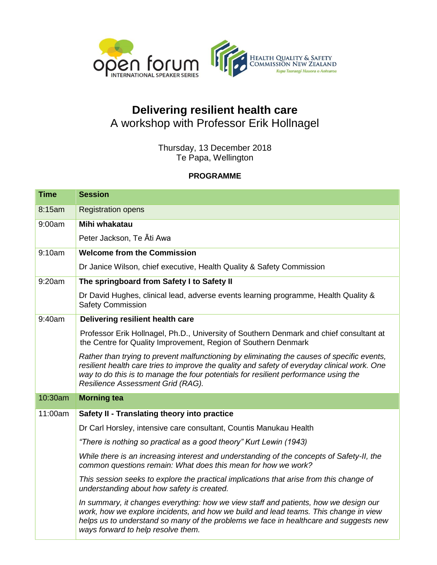

## **Delivering resilient health care** A workshop with Professor Erik Hollnagel

Thursday, 13 December 2018 Te Papa, Wellington

## **PROGRAMME**

| <b>Time</b> | <b>Session</b>                                                                                                                                                                                                                                                                                                         |
|-------------|------------------------------------------------------------------------------------------------------------------------------------------------------------------------------------------------------------------------------------------------------------------------------------------------------------------------|
| 8:15am      | <b>Registration opens</b>                                                                                                                                                                                                                                                                                              |
| 9:00am      | Mihi whakatau                                                                                                                                                                                                                                                                                                          |
|             | Peter Jackson, Te Ati Awa                                                                                                                                                                                                                                                                                              |
| 9:10am      | <b>Welcome from the Commission</b>                                                                                                                                                                                                                                                                                     |
|             | Dr Janice Wilson, chief executive, Health Quality & Safety Commission                                                                                                                                                                                                                                                  |
| 9:20am      | The springboard from Safety I to Safety II                                                                                                                                                                                                                                                                             |
|             | Dr David Hughes, clinical lead, adverse events learning programme, Health Quality &<br><b>Safety Commission</b>                                                                                                                                                                                                        |
| 9:40am      | Delivering resilient health care                                                                                                                                                                                                                                                                                       |
|             | Professor Erik Hollnagel, Ph.D., University of Southern Denmark and chief consultant at<br>the Centre for Quality Improvement, Region of Southern Denmark                                                                                                                                                              |
|             | Rather than trying to prevent malfunctioning by eliminating the causes of specific events,<br>resilient health care tries to improve the quality and safety of everyday clinical work. One<br>way to do this is to manage the four potentials for resilient performance using the<br>Resilience Assessment Grid (RAG). |
| 10:30am     | <b>Morning tea</b>                                                                                                                                                                                                                                                                                                     |
| 11:00am     | Safety II - Translating theory into practice                                                                                                                                                                                                                                                                           |
|             | Dr Carl Horsley, intensive care consultant, Countis Manukau Health                                                                                                                                                                                                                                                     |
|             | "There is nothing so practical as a good theory" Kurt Lewin (1943)                                                                                                                                                                                                                                                     |
|             | While there is an increasing interest and understanding of the concepts of Safety-II, the<br>common questions remain: What does this mean for how we work?                                                                                                                                                             |
|             | This session seeks to explore the practical implications that arise from this change of<br>understanding about how safety is created.                                                                                                                                                                                  |
|             | In summary, it changes everything: how we view staff and patients, how we design our<br>work, how we explore incidents, and how we build and lead teams. This change in view<br>helps us to understand so many of the problems we face in healthcare and suggests new<br>ways forward to help resolve them.            |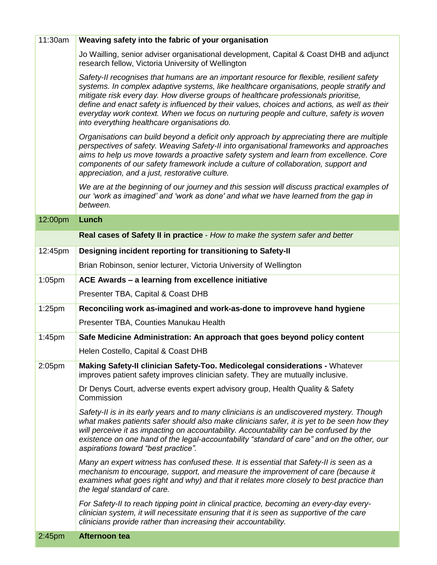| 11:30am            | Weaving safety into the fabric of your organisation                                                                                                                                                                                                                                                                                                                                                                                                                                                                   |
|--------------------|-----------------------------------------------------------------------------------------------------------------------------------------------------------------------------------------------------------------------------------------------------------------------------------------------------------------------------------------------------------------------------------------------------------------------------------------------------------------------------------------------------------------------|
|                    | Jo Wailling, senior adviser organisational development, Capital & Coast DHB and adjunct<br>research fellow, Victoria University of Wellington                                                                                                                                                                                                                                                                                                                                                                         |
|                    | Safety-II recognises that humans are an important resource for flexible, resilient safety<br>systems. In complex adaptive systems, like healthcare organisations, people stratify and<br>mitigate risk every day. How diverse groups of healthcare professionals prioritise,<br>define and enact safety is influenced by their values, choices and actions, as well as their<br>everyday work context. When we focus on nurturing people and culture, safety is woven<br>into everything healthcare organisations do. |
|                    | Organisations can build beyond a deficit only approach by appreciating there are multiple<br>perspectives of safety. Weaving Safety-II into organisational frameworks and approaches<br>aims to help us move towards a proactive safety system and learn from excellence. Core<br>components of our safety framework include a culture of collaboration, support and<br>appreciation, and a just, restorative culture.                                                                                                |
|                    | We are at the beginning of our journey and this session will discuss practical examples of<br>our 'work as imagined' and 'work as done' and what we have learned from the gap in<br>between.                                                                                                                                                                                                                                                                                                                          |
| 12:00pm            | Lunch                                                                                                                                                                                                                                                                                                                                                                                                                                                                                                                 |
|                    | Real cases of Safety II in practice - How to make the system safer and better                                                                                                                                                                                                                                                                                                                                                                                                                                         |
| 12:45pm            | Designing incident reporting for transitioning to Safety-II                                                                                                                                                                                                                                                                                                                                                                                                                                                           |
|                    | Brian Robinson, senior lecturer, Victoria University of Wellington                                                                                                                                                                                                                                                                                                                                                                                                                                                    |
| $1:05$ pm          | ACE Awards - a learning from excellence initiative                                                                                                                                                                                                                                                                                                                                                                                                                                                                    |
|                    | Presenter TBA, Capital & Coast DHB                                                                                                                                                                                                                                                                                                                                                                                                                                                                                    |
| $1:25$ pm          | Reconciling work as-imagined and work-as-done to improveve hand hygiene                                                                                                                                                                                                                                                                                                                                                                                                                                               |
|                    | Presenter TBA, Counties Manukau Health                                                                                                                                                                                                                                                                                                                                                                                                                                                                                |
| 1:45 <sub>pm</sub> | Safe Medicine Administration: An approach that goes beyond policy content                                                                                                                                                                                                                                                                                                                                                                                                                                             |
|                    | Helen Costello, Capital & Coast DHB                                                                                                                                                                                                                                                                                                                                                                                                                                                                                   |
| 2:05 <sub>pm</sub> | Making Safety-II clinician Safety-Too. Medicolegal considerations - Whatever<br>improves patient safety improves clinician safety. They are mutually inclusive.                                                                                                                                                                                                                                                                                                                                                       |
|                    | Dr Denys Court, adverse events expert advisory group, Health Quality & Safety<br>Commission                                                                                                                                                                                                                                                                                                                                                                                                                           |
|                    | Safety-II is in its early years and to many clinicians is an undiscovered mystery. Though<br>what makes patients safer should also make clinicians safer, it is yet to be seen how they<br>will perceive it as impacting on accountability. Accountability can be confused by the<br>existence on one hand of the legal-accountability "standard of care" and on the other, our<br>aspirations toward "best practice".                                                                                                |
|                    | Many an expert witness has confused these. It is essential that Safety-II is seen as a<br>mechanism to encourage, support, and measure the improvement of care (because it<br>examines what goes right and why) and that it relates more closely to best practice than<br>the legal standard of care.                                                                                                                                                                                                                 |
|                    | For Safety-II to reach tipping point in clinical practice, becoming an every-day every-<br>clinician system, it will necessitate ensuring that it is seen as supportive of the care<br>clinicians provide rather than increasing their accountability.                                                                                                                                                                                                                                                                |
| 2:45 <sub>pm</sub> | Afternoon tea                                                                                                                                                                                                                                                                                                                                                                                                                                                                                                         |

an an